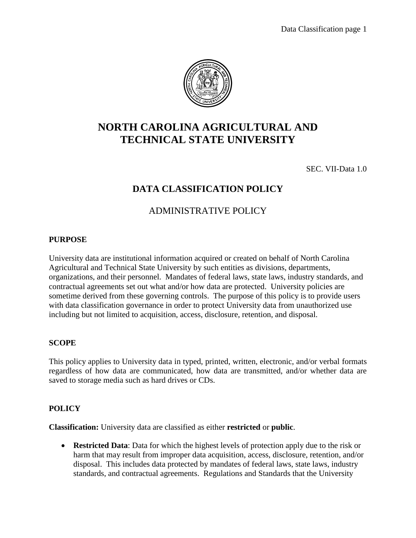

# **NORTH CAROLINA AGRICULTURAL AND TECHNICAL STATE UNIVERSITY**

SEC. VII-Data 1.0

## **DATA CLASSIFICATION POLICY**

## ADMINISTRATIVE POLICY

#### **PURPOSE**

University data are institutional information acquired or created on behalf of North Carolina Agricultural and Technical State University by such entities as divisions, departments, organizations, and their personnel. Mandates of federal laws, state laws, industry standards, and contractual agreements set out what and/or how data are protected. University policies are sometime derived from these governing controls. The purpose of this policy is to provide users with data classification governance in order to protect University data from unauthorized use including but not limited to acquisition, access, disclosure, retention, and disposal.

### **SCOPE**

This policy applies to University data in typed, printed, written, electronic, and/or verbal formats regardless of how data are communicated, how data are transmitted, and/or whether data are saved to storage media such as hard drives or CDs.

#### **POLICY**

**Classification:** University data are classified as either **restricted** or **public**.

 **Restricted Data**: Data for which the highest levels of protection apply due to the risk or harm that may result from improper data acquisition, access, disclosure, retention, and/or disposal. This includes data protected by mandates of federal laws, state laws, industry standards, and contractual agreements. Regulations and Standards that the University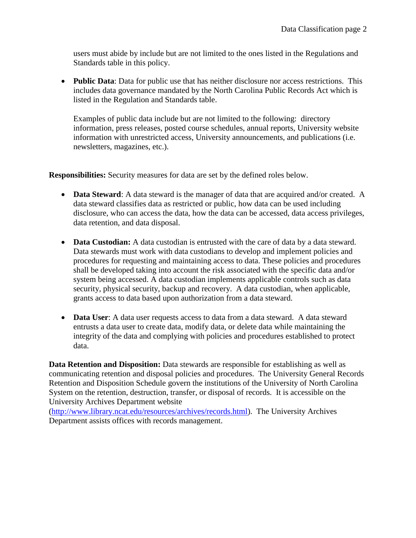users must abide by include but are not limited to the ones listed in the Regulations and Standards table in this policy.

 **Public Data**: Data for public use that has neither disclosure nor access restrictions. This includes data governance mandated by the North Carolina Public Records Act which is listed in the Regulation and Standards table.

Examples of public data include but are not limited to the following: directory information, press releases, posted course schedules, annual reports, University website information with unrestricted access, University announcements, and publications (i.e. newsletters, magazines, etc.).

**Responsibilities:** Security measures for data are set by the defined roles below.

- **Data Steward**: A data steward is the manager of data that are acquired and/or created. A data steward classifies data as restricted or public, how data can be used including disclosure, who can access the data, how the data can be accessed, data access privileges, data retention, and data disposal.
- **Data Custodian:** A data custodian is entrusted with the care of data by a data steward. Data stewards must work with data custodians to develop and implement policies and procedures for requesting and maintaining access to data. These policies and procedures shall be developed taking into account the risk associated with the specific data and/or system being accessed. A data custodian implements applicable controls such as data security, physical security, backup and recovery. A data custodian, when applicable, grants access to data based upon authorization from a data steward.
- **Data User**: A data user requests access to data from a data steward. A data steward entrusts a data user to create data, modify data, or delete data while maintaining the integrity of the data and complying with policies and procedures established to protect data.

**Data Retention and Disposition:** Data stewards are responsible for establishing as well as communicating retention and disposal policies and procedures. The University General Records Retention and Disposition Schedule govern the institutions of the University of North Carolina System on the retention, destruction, transfer, or disposal of records. It is accessible on the University Archives Department website

[\(http://www.library.ncat.edu/resources/archives/records.html\)](http://www.library.ncat.edu/resources/archives/records.html). The University Archives Department assists offices with records management.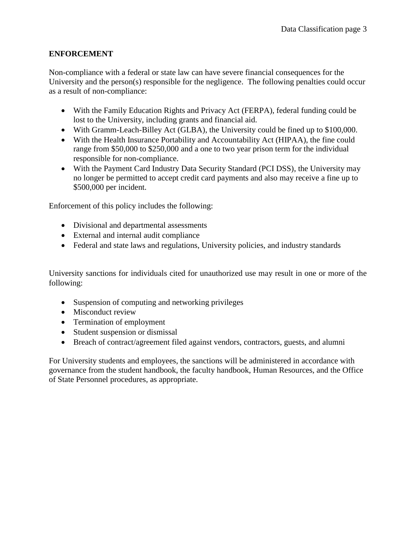## **ENFORCEMENT**

Non-compliance with a federal or state law can have severe financial consequences for the University and the person(s) responsible for the negligence. The following penalties could occur as a result of non-compliance:

- With the Family Education Rights and Privacy Act (FERPA), federal funding could be lost to the University, including grants and financial aid.
- With Gramm-Leach-Billey Act (GLBA), the University could be fined up to \$100,000.
- With the Health Insurance Portability and Accountability Act (HIPAA), the fine could range from \$50,000 to \$250,000 and a one to two year prison term for the individual responsible for non-compliance.
- With the Payment Card Industry Data Security Standard (PCI DSS), the University may no longer be permitted to accept credit card payments and also may receive a fine up to \$500,000 per incident.

Enforcement of this policy includes the following:

- Divisional and departmental assessments
- External and internal audit compliance
- Federal and state laws and regulations, University policies, and industry standards

University sanctions for individuals cited for unauthorized use may result in one or more of the following:

- Suspension of computing and networking privileges
- Misconduct review
- Termination of employment
- Student suspension or dismissal
- Breach of contract/agreement filed against vendors, contractors, guests, and alumni

For University students and employees, the sanctions will be administered in accordance with governance from the student handbook, the faculty handbook, Human Resources, and the Office of State Personnel procedures, as appropriate.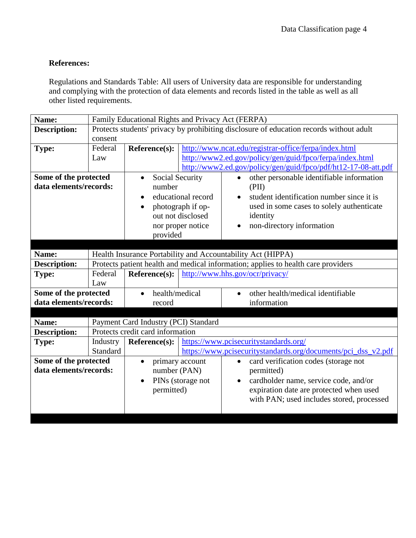## **References:**

Regulations and Standards Table: All users of University data are responsible for understanding and complying with the protection of data elements and records listed in the table as well as all other listed requirements.

| Name:                  | Family Educational Rights and Privacy Act (FERPA)                                       |                                                                                   |  |                                                                |  |  |
|------------------------|-----------------------------------------------------------------------------------------|-----------------------------------------------------------------------------------|--|----------------------------------------------------------------|--|--|
| <b>Description:</b>    | Protects students' privacy by prohibiting disclosure of education records without adult |                                                                                   |  |                                                                |  |  |
|                        | consent                                                                                 |                                                                                   |  |                                                                |  |  |
| <b>Type:</b>           | Federal                                                                                 | Reference(s):                                                                     |  | http://www.ncat.edu/registrar-office/ferpa/index.html          |  |  |
|                        | Law                                                                                     |                                                                                   |  | http://www2.ed.gov/policy/gen/guid/fpco/ferpa/index.html       |  |  |
|                        |                                                                                         |                                                                                   |  | http://www2.ed.gov/policy/gen/guid/fpco/pdf/ht12-17-08-att.pdf |  |  |
| Some of the protected  |                                                                                         | <b>Social Security</b><br>$\bullet$                                               |  | other personable identifiable information<br>$\bullet$         |  |  |
| data elements/records: |                                                                                         | number                                                                            |  | (PII)                                                          |  |  |
|                        |                                                                                         | educational record<br>$\bullet$                                                   |  | student identification number since it is<br>$\bullet$         |  |  |
|                        |                                                                                         | photograph if op-                                                                 |  | used in some cases to solely authenticate                      |  |  |
|                        |                                                                                         | out not disclosed                                                                 |  | identity                                                       |  |  |
|                        |                                                                                         | nor proper notice                                                                 |  | non-directory information<br>$\bullet$                         |  |  |
|                        |                                                                                         | provided                                                                          |  |                                                                |  |  |
|                        |                                                                                         |                                                                                   |  |                                                                |  |  |
| Name:                  | Health Insurance Portability and Accountability Act (HIPPA)                             |                                                                                   |  |                                                                |  |  |
| <b>Description:</b>    |                                                                                         | Protects patient health and medical information; applies to health care providers |  |                                                                |  |  |
| <b>Type:</b>           | Federal                                                                                 | Reference(s):                                                                     |  | http://www.hhs.gov/ocr/privacy/                                |  |  |
|                        | Law                                                                                     |                                                                                   |  |                                                                |  |  |
| Some of the protected  |                                                                                         | health/medical                                                                    |  | other health/medical identifiable<br>$\bullet$                 |  |  |
| data elements/records: |                                                                                         | record                                                                            |  | information                                                    |  |  |
|                        |                                                                                         |                                                                                   |  |                                                                |  |  |
| Name:                  |                                                                                         | Payment Card Industry (PCI) Standard                                              |  |                                                                |  |  |
| <b>Description:</b>    | Protects credit card information                                                        |                                                                                   |  |                                                                |  |  |
| <b>Type:</b>           | Industry                                                                                | Reference(s):                                                                     |  | https://www.pcisecuritystandards.org/                          |  |  |
|                        | Standard                                                                                |                                                                                   |  | https://www.pcisecuritystandards.org/documents/pci_dss_v2.pdf  |  |  |
| Some of the protected  |                                                                                         | primary account<br>$\bullet$                                                      |  | card verification codes (storage not<br>$\bullet$              |  |  |
| data elements/records: |                                                                                         | number (PAN)                                                                      |  | permitted)                                                     |  |  |
|                        |                                                                                         | PINs (storage not<br>$\bullet$                                                    |  | cardholder name, service code, and/or<br>$\bullet$             |  |  |
|                        |                                                                                         | permitted)                                                                        |  | expiration date are protected when used                        |  |  |
|                        |                                                                                         |                                                                                   |  | with PAN; used includes stored, processed                      |  |  |
|                        |                                                                                         |                                                                                   |  |                                                                |  |  |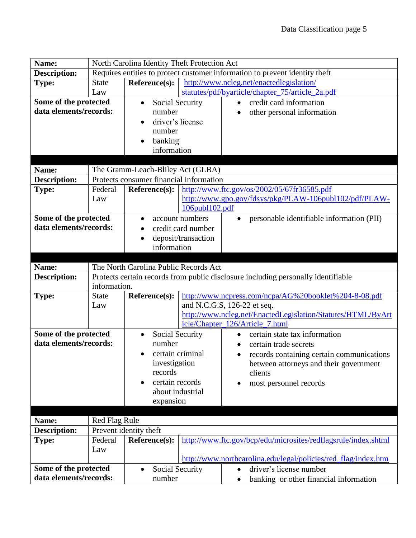| Name:                                      |                                                                                   | North Carolina Identity Theft Protection Act                                |                                                                |                                                                |  |  |
|--------------------------------------------|-----------------------------------------------------------------------------------|-----------------------------------------------------------------------------|----------------------------------------------------------------|----------------------------------------------------------------|--|--|
| <b>Description:</b>                        |                                                                                   | Requires entities to protect customer information to prevent identity theft |                                                                |                                                                |  |  |
| <b>Type:</b>                               | <b>State</b>                                                                      | Reference(s):                                                               |                                                                | http://www.ncleg.net/enactedlegislation/                       |  |  |
|                                            | Law                                                                               |                                                                             |                                                                | statutes/pdf/byarticle/chapter_75/article_2a.pdf               |  |  |
| Some of the protected                      |                                                                                   | <b>Social Security</b><br>$\bullet$                                         |                                                                | credit card information<br>$\bullet$                           |  |  |
| data elements/records:                     |                                                                                   | number                                                                      |                                                                | other personal information                                     |  |  |
|                                            |                                                                                   | driver's license                                                            |                                                                |                                                                |  |  |
|                                            |                                                                                   | number                                                                      |                                                                |                                                                |  |  |
|                                            |                                                                                   | banking                                                                     |                                                                |                                                                |  |  |
|                                            |                                                                                   | information                                                                 |                                                                |                                                                |  |  |
|                                            |                                                                                   |                                                                             |                                                                |                                                                |  |  |
| The Gramm-Leach-Bliley Act (GLBA)<br>Name: |                                                                                   |                                                                             |                                                                |                                                                |  |  |
| <b>Description:</b>                        |                                                                                   | Protects consumer financial information                                     |                                                                |                                                                |  |  |
| <b>Type:</b>                               | Federal                                                                           | $Reference(s)$ :                                                            |                                                                | http://www.ftc.gov/os/2002/05/67fr36585.pdf                    |  |  |
|                                            | Law                                                                               |                                                                             |                                                                | http://www.gpo.gov/fdsys/pkg/PLAW-106publ102/pdf/PLAW-         |  |  |
|                                            |                                                                                   |                                                                             | 106publ102.pdf                                                 |                                                                |  |  |
| Some of the protected                      |                                                                                   |                                                                             | account numbers                                                | personable identifiable information (PII)<br>$\bullet$         |  |  |
| data elements/records:                     |                                                                                   | credit card number                                                          |                                                                |                                                                |  |  |
|                                            |                                                                                   | deposit/transaction                                                         |                                                                |                                                                |  |  |
|                                            |                                                                                   | information                                                                 |                                                                |                                                                |  |  |
|                                            |                                                                                   |                                                                             |                                                                |                                                                |  |  |
| Name:                                      |                                                                                   | The North Carolina Public Records Act                                       |                                                                |                                                                |  |  |
| <b>Description:</b>                        | Protects certain records from public disclosure including personally identifiable |                                                                             |                                                                |                                                                |  |  |
|                                            | information.                                                                      |                                                                             |                                                                |                                                                |  |  |
| <b>Type:</b>                               | <b>State</b>                                                                      | http://www.ncpress.com/ncpa/AG%20booklet%204-8-08.pdf<br>Reference(s):      |                                                                |                                                                |  |  |
|                                            | Law                                                                               |                                                                             |                                                                | and N.C.G.S, 126-22 et seq.                                    |  |  |
|                                            |                                                                                   |                                                                             |                                                                | http://www.ncleg.net/EnactedLegislation/Statutes/HTML/ByArt    |  |  |
|                                            |                                                                                   |                                                                             |                                                                | icle/Chapter_126/Article_7.html                                |  |  |
| Some of the protected                      |                                                                                   | Social Security<br>$\bullet$                                                |                                                                | certain state tax information<br>$\bullet$                     |  |  |
| data elements/records:                     |                                                                                   | number                                                                      |                                                                | certain trade secrets                                          |  |  |
|                                            |                                                                                   | certain criminal                                                            |                                                                | records containing certain communications                      |  |  |
|                                            |                                                                                   | investigation                                                               |                                                                | between attorneys and their government                         |  |  |
|                                            |                                                                                   | records                                                                     |                                                                | clients                                                        |  |  |
|                                            |                                                                                   | certain records                                                             |                                                                | most personnel records<br>٠                                    |  |  |
|                                            |                                                                                   | about industrial                                                            |                                                                |                                                                |  |  |
|                                            |                                                                                   | expansion                                                                   |                                                                |                                                                |  |  |
|                                            |                                                                                   |                                                                             |                                                                |                                                                |  |  |
| Name:                                      |                                                                                   | <b>Red Flag Rule</b><br>Prevent identity theft                              |                                                                |                                                                |  |  |
| <b>Description:</b>                        |                                                                                   |                                                                             |                                                                |                                                                |  |  |
| <b>Type:</b>                               | Federal                                                                           | Reference(s):                                                               | http://www.ftc.gov/bcp/edu/microsites/redflagsrule/index.shtml |                                                                |  |  |
|                                            | Law                                                                               |                                                                             |                                                                |                                                                |  |  |
| Some of the protected                      |                                                                                   |                                                                             |                                                                | http://www.northcarolina.edu/legal/policies/red_flag/index.htm |  |  |
|                                            |                                                                                   | Social Security<br>$\bullet$                                                |                                                                | driver's license number<br>$\bullet$                           |  |  |
| data elements/records:                     |                                                                                   | number                                                                      |                                                                | banking or other financial information                         |  |  |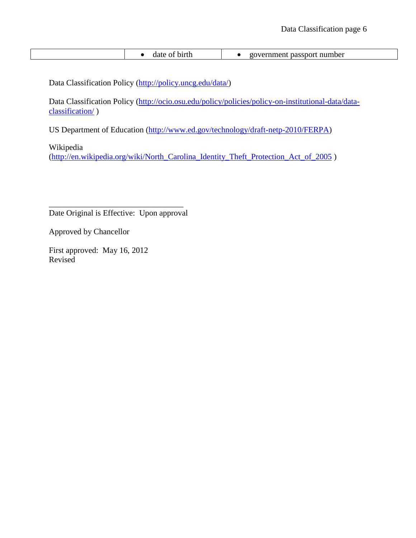| birth<br>aate<br>$\mathbf{\Omega}$ | number<br>nen<br>-nassnori<br>. |
|------------------------------------|---------------------------------|
|------------------------------------|---------------------------------|

Data Classification Policy [\(http://policy.uncg.edu/data/\)](http://policy.uncg.edu/data/)

Data Classification Policy [\(http://ocio.osu.edu/policy/policies/policy-on-institutional-data/data](http://ocio.osu.edu/policy/policies/policy-on-institutional-data/data-classification/)[classification/](http://ocio.osu.edu/policy/policies/policy-on-institutional-data/data-classification/) )

US Department of Education [\(http://www.ed.gov/technology/draft-netp-2010/FERPA\)](http://www.ed.gov/technology/draft-netp-2010/FERPA)

Wikipedia

[\(http://en.wikipedia.org/wiki/North\\_Carolina\\_Identity\\_Theft\\_Protection\\_Act\\_of\\_2005](http://en.wikipedia.org/wiki/North_Carolina_Identity_Theft_Protection_Act_of_2005) )

\_\_\_\_\_\_\_\_\_\_\_\_\_\_\_\_\_\_\_\_\_\_\_\_\_\_\_\_\_\_\_\_\_ Date Original is Effective: Upon approval

Approved by Chancellor

First approved: May 16, 2012 Revised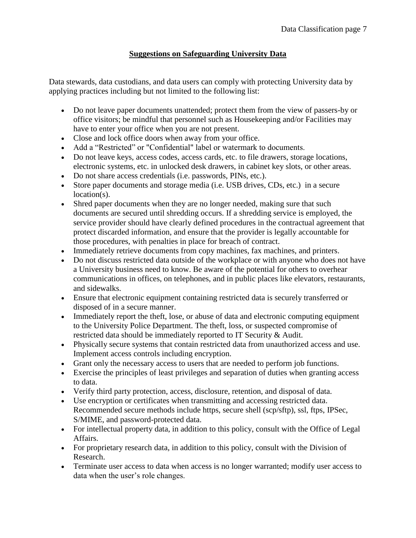## **Suggestions on Safeguarding University Data**

Data stewards, data custodians, and data users can comply with protecting University data by applying practices including but not limited to the following list:

- Do not leave paper documents unattended; protect them from the view of passers-by or office visitors; be mindful that personnel such as Housekeeping and/or Facilities may have to enter your office when you are not present.
- Close and lock office doors when away from your office.
- Add a "Restricted" or "Confidential" label or watermark to documents.
- Do not leave keys, access codes, access cards, etc. to file drawers, storage locations, electronic systems, etc. in unlocked desk drawers, in cabinet key slots, or other areas.
- Do not share access credentials (i.e. passwords, PINs, etc.).
- Store paper documents and storage media (i.e. USB drives, CDs, etc.) in a secure location(s).
- Shred paper documents when they are no longer needed, making sure that such documents are secured until shredding occurs. If a shredding service is employed, the service provider should have clearly defined procedures in the contractual agreement that protect discarded information, and ensure that the provider is legally accountable for those procedures, with penalties in place for breach of contract.
- Immediately retrieve documents from copy machines, fax machines, and printers.
- Do not discuss restricted data outside of the workplace or with anyone who does not have a University business need to know. Be aware of the potential for others to overhear communications in offices, on telephones, and in public places like elevators, restaurants, and sidewalks.
- Ensure that electronic equipment containing restricted data is securely transferred or disposed of in a secure manner.
- Immediately report the theft, lose, or abuse of data and electronic computing equipment to the University Police Department. The theft, loss, or suspected compromise of restricted data should be immediately reported to IT Security & Audit.
- Physically secure systems that contain restricted data from unauthorized access and use. Implement access controls including encryption.
- Grant only the necessary access to users that are needed to perform job functions.
- Exercise the principles of least privileges and separation of duties when granting access to data.
- Verify third party protection, access, disclosure, retention, and disposal of data.
- Use encryption or certificates when transmitting and accessing restricted data. Recommended secure methods include https, secure shell (scp/sftp), ssl, ftps, IPSec, S/MIME, and password-protected data.
- For intellectual property data, in addition to this policy, consult with the Office of Legal Affairs.
- For proprietary research data, in addition to this policy, consult with the Division of Research.
- Terminate user access to data when access is no longer warranted; modify user access to data when the user's role changes.